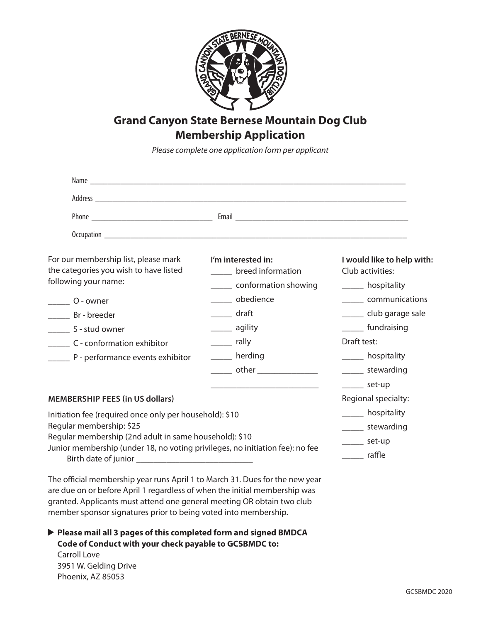

## **Grand Canyon State Bernese Mountain Dog Club Membership Application**

*Please complete one application form per applicant*

| For our membership list, please mark<br>the categories you wish to have listed<br>following your name:<br>__ O - owner<br>Br - breeder<br>S - stud owner<br>C - conformation exhibitor<br>P - performance events exhibitor     | I'm interested in:<br>breed information<br>______ conformation showing<br>_____ obedience<br>$\frac{1}{\sqrt{1-\frac{1}{2}}\sqrt{1-\frac{1}{2}}\sqrt{1-\frac{1}{2}}\sqrt{1-\frac{1}{2}}\sqrt{1-\frac{1}{2}}\sqrt{1-\frac{1}{2}}\sqrt{1-\frac{1}{2}}\sqrt{1-\frac{1}{2}}\sqrt{1-\frac{1}{2}}\sqrt{1-\frac{1}{2}}\sqrt{1-\frac{1}{2}}\sqrt{1-\frac{1}{2}}\sqrt{1-\frac{1}{2}}\sqrt{1-\frac{1}{2}}\sqrt{1-\frac{1}{2}}\sqrt{1-\frac{1}{2}}\sqrt{1-\frac{1}{2}}\sqrt{1-\frac{1}{2}}\sqrt{1-\frac{1}{2}}\sqrt{1-\frac$<br>______ agility<br>______ rally<br>_____ herding<br>__ other ________________ | I would like to help with:<br>Club activities:<br>______ hospitality<br>communications<br>club garage sale<br>______ fundraising<br>Draft test:<br>______ hospitality<br>______ stewarding |
|--------------------------------------------------------------------------------------------------------------------------------------------------------------------------------------------------------------------------------|---------------------------------------------------------------------------------------------------------------------------------------------------------------------------------------------------------------------------------------------------------------------------------------------------------------------------------------------------------------------------------------------------------------------------------------------------------------------------------------------------------------------------------------------------------------------------------------------------|--------------------------------------------------------------------------------------------------------------------------------------------------------------------------------------------|
| <b>MEMBERSHIP FEES (in US dollars)</b>                                                                                                                                                                                         |                                                                                                                                                                                                                                                                                                                                                                                                                                                                                                                                                                                                   | $\rule{1em}{0.15mm}$ set-up<br>Regional specialty:                                                                                                                                         |
| Initiation fee (required once only per household): \$10<br>Regular membership: \$25<br>Regular membership (2nd adult in same household): \$10<br>Junior membership (under 18, no voting privileges, no initiation fee): no fee | ______ hospitality<br>______ stewarding<br>_______ set-up<br>$\frac{1}{\sqrt{1-\frac{1}{2}}\sqrt{1-\frac{1}{2}}\sqrt{1-\frac{1}{2}}\sqrt{1-\frac{1}{2}}\sqrt{1-\frac{1}{2}}\sqrt{1-\frac{1}{2}}\sqrt{1-\frac{1}{2}}\sqrt{1-\frac{1}{2}}\sqrt{1-\frac{1}{2}}\sqrt{1-\frac{1}{2}}\sqrt{1-\frac{1}{2}}\sqrt{1-\frac{1}{2}}\sqrt{1-\frac{1}{2}}\sqrt{1-\frac{1}{2}}\sqrt{1-\frac{1}{2}}\sqrt{1-\frac{1}{2}}\sqrt{1-\frac{1}{2}}\sqrt{1-\frac{1}{2}}\sqrt{1-\frac{1}{2}}\sqrt{1-\frac$                                                                                                                 |                                                                                                                                                                                            |

The official membership year runs April 1 to March 31. Dues for the new year are due on or before April 1 regardless of when the initial membership was granted. Applicants must attend one general meeting OR obtain two club member sponsor signatures prior to being voted into membership.

## **Please mail all 3 pages of this completed form and signed BMDCA**  u **Code of Conduct with your check payable to GCSBMDC to:** Carroll Love

3951 W. Gelding Drive Phoenix, AZ 85053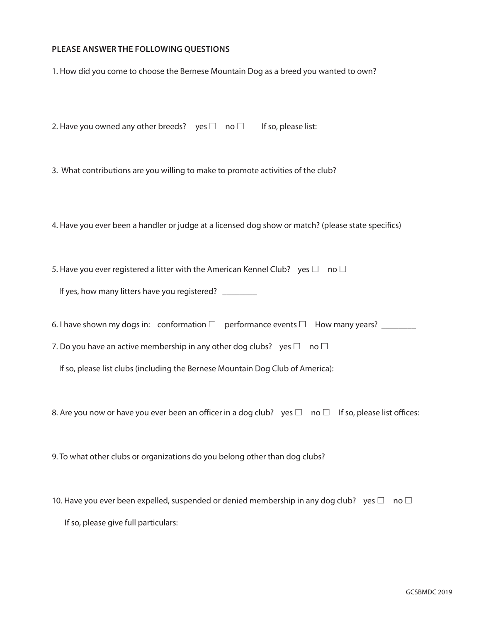## **PLEASE ANSWER THE FOLLOWING QUESTIONS**

1. How did you come to choose the Bernese Mountain Dog as a breed you wanted to own?

|  | 2. Have you owned any other breeds? yes $\square$ no $\square$ |  | If so, please list: |
|--|----------------------------------------------------------------|--|---------------------|
|  |                                                                |  |                     |

3. What contributions are you willing to make to promote activities of the club?

4. Have you ever been a handler or judge at a licensed dog show or match? (please state specifics)

5. Have you ever registered a litter with the American Kennel Club? yes  $\Box$  no  $\Box$ 

If yes, how many litters have you registered? \_\_\_\_\_\_\_

6. I have shown my dogs in: conformation  $\Box$  performance events  $\Box$  How many years?  $\Box$ 

7. Do you have an active membership in any other dog clubs? yes  $\Box$  no  $\Box$ 

If so, please list clubs (including the Bernese Mountain Dog Club of America):

8. Are you now or have you ever been an officer in a dog club? yes  $\Box$  no  $\Box$  If so, please list offices:

9. To what other clubs or organizations do you belong other than dog clubs?

10. Have you ever been expelled, suspended or denied membership in any dog club? yes  $\Box$  no  $\Box$ If so, please give full particulars: